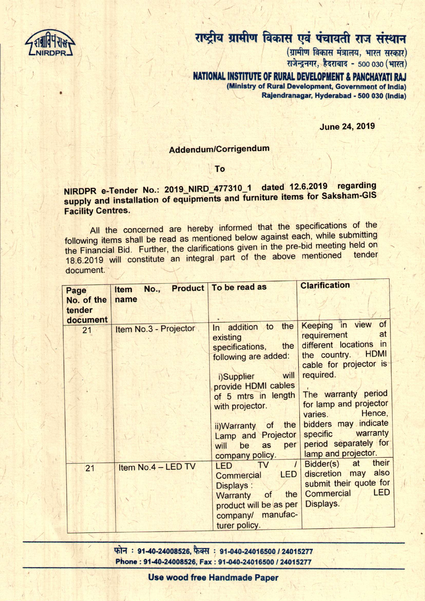

 $\overline{\phantom{a}}$ 

/

 $-1$ 

•

## राष्ट्रीय ग्रामीण विकास एवं पंचायती राज संस्थान

 $\lambda$ 

, , (

I *I*

 $($ ग्रामीण विकास मंत्रालय, भारत सरकार) राजेन्द्रनगर, हैदराबाद - 500 030 (भारत)

, NATIONAL INSTITUTE OF RURAL DEVELOPMENT & PANCHAYATI RAJ (Ministry of Rural Development, Government of India) Rajendranagar, Hyderabad - 500 030 (India)

**June 24, 2019** 

,.

## Addendum/Corrigendum

 $\sqrt{2}$ 

/

./

" To

## NIRDPR e-Tender No.: 2019\_NIRD\_477310\_1 dated 12.6.2019 regarding supply and installation of equipments and furniture items for Saksham-GIS Facility Centres.

All the concerned are hereby informed that the specifications of the following items shall be read as mentioned below against each, while submitting the Financial Bid. Further, the clarifications given in the pre-bid meeting held on 18.6.2019 will constitute an integral part of the above mentioned document. '

| Page                             | <b>No.,</b><br><b>Item</b> | <b>Product To be read as</b>                                                                                                                                                                                                                                      | <b>Clarification</b>                                                                                                                                                                                                                                                                                |
|----------------------------------|----------------------------|-------------------------------------------------------------------------------------------------------------------------------------------------------------------------------------------------------------------------------------------------------------------|-----------------------------------------------------------------------------------------------------------------------------------------------------------------------------------------------------------------------------------------------------------------------------------------------------|
| No. of the<br>tender<br>document | name                       |                                                                                                                                                                                                                                                                   |                                                                                                                                                                                                                                                                                                     |
| 21                               | Item No.3 - Projector      | In addition to the<br>existing<br>the<br>specifications,<br>following are added:<br>will<br>i)Supplier<br>provide HDMI cables<br>of 5 mtrs in length<br>with projector.<br>ii)Warranty of the<br>Lamp and Projector<br>per<br>will<br>be<br>as<br>company policy. | Keeping in view of<br>at<br>requirement<br>different locations in<br>the country. HDMI<br>cable for projector is<br>required.<br>The warranty period<br>for lamp and projector<br>Hence,<br>varies.<br>bidders may indicate<br>warranty<br>specific<br>period separately for<br>lamp and projector. |
| 21                               | Item No.4 - LED TV         | <b>LED</b><br>TV<br>LED<br>Commercial<br>Displays:<br>the<br>of<br>Warranty<br>product will be as per<br>company/ manufac-<br>turer policy.                                                                                                                       | their<br>at<br>Bidder(s)<br>discretion may also<br>submit their quote for<br><b>LED</b><br>Commercial<br>Displays.                                                                                                                                                                                  |

~ : 91-40-24008526, ~ : *91-040-24016500/240152'77* hone: 91-40-24008526, Fax: 91-040-240165 Pone: 91-40-24008526, Fax: *91-040-24016500/24015277* ,

Use wood free Handmade Paper